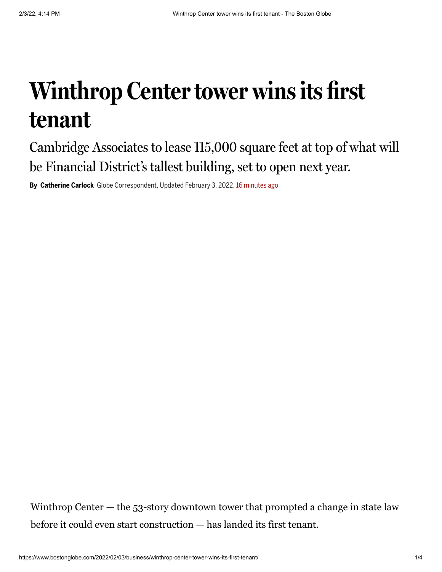## **Winthrop Center tower wins its first tenant**

Cambridge Associates to lease 115,000 square feet at top of what will be Financial District's tallest building, set to open next year.

**By Catherine Carlock** Globe Correspondent, Updated February 3, 2022, 16 minutes ago

Winthrop Center — the 53-story downtown tower that prompted a change in state law before it could even start construction — has landed its first tenant.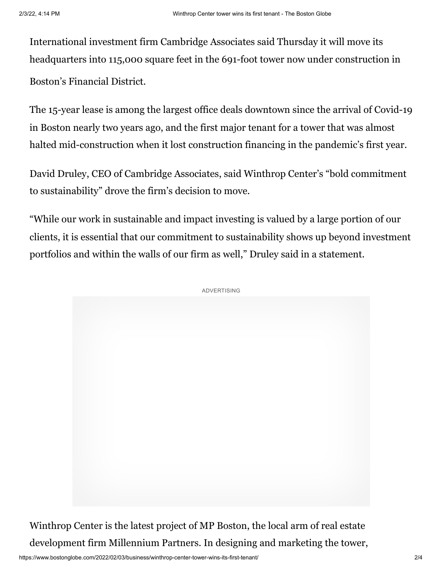International investment firm Cambridge Associates said Thursday it will move its headquarters into 115,000 square feet in the 691-foot tower now under construction in Boston's Financial District.

The 15-year lease is among the largest office deals downtown since the arrival of Covid-19 in Boston nearly two years ago, and the first major tenant for a tower that was almost halted mid-construction when it lost construction financing in the pandemic's first year.

David Druley, CEO of Cambridge Associates, said Winthrop Center's "bold commitment to sustainability" drove the firm's decision to move.

"While our work in sustainable and impact investing is valued by a large portion of our clients, it is essential that our commitment to sustainability shows up beyond investment portfolios and within the walls of our firm as well," Druley said in a statement.



Winthrop Center is the latest project of MP Boston, the local arm of real estate development firm Millennium Partners. In designing and marketing the tower,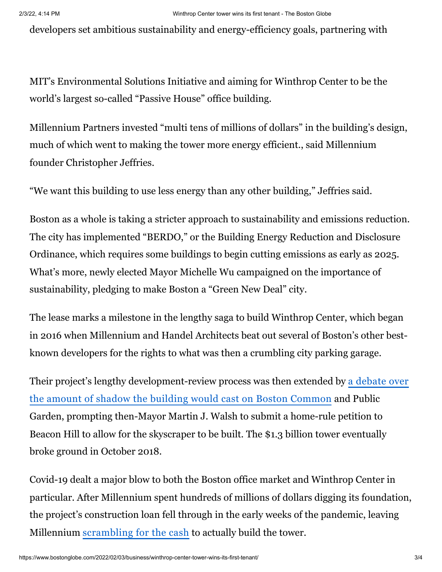developers set ambitious sustainability and energy-efficiency goals, partnering with

MIT's Environmental Solutions Initiative and aiming for Winthrop Center to be the world's largest so-called "Passive House" office building.

Millennium Partners invested "multi tens of millions of dollars" in the building's design, much of which went to making the tower more energy efficient., said Millennium founder Christopher Jeffries.

"We want this building to use less energy than any other building," Jeffries said.

Boston as a whole is taking a stricter approach to sustainability and emissions reduction. The city has implemented "BERDO," or the Building Energy Reduction and Disclosure Ordinance, which requires some buildings to begin cutting emissions as early as 2025. What's more, newly elected Mayor Michelle Wu campaigned on the importance of sustainability, pledging to make Boston a "Green New Deal" city.

The lease marks a milestone in the lengthy saga to build Winthrop Center, which began in 2016 when Millennium and Handel Architects beat out several of Boston's other bestknown developers for the rights to what was then a crumbling city parking garage.

[Their project's lengthy development-review process was then extended by a](https://www.bostonglobe.com/business/2016/10/31/shadow/FcG7vgu2HbrjBdg18ay9XP/story.html?p1=Article_Inline_Text_Link) debate over the amount of shadow the building would cast on Boston Common and Public Garden, prompting then-Mayor Martin J. Walsh to submit a home-rule petition to Beacon Hill to allow for the skyscraper to be built. The \$1.3 billion tower eventually broke ground in October 2018.

Covid-19 dealt a major blow to both the Boston office market and Winthrop Center in particular. After Millennium spent hundreds of millions of dollars digging its foundation, the project's construction loan fell through in the early weeks of the pandemic, leaving Millennium [scrambling](https://www.bostonglobe.com/2020/10/18/business/keep-winthrop-center-project-going-developer-turned-financing-abroad/?p1=Article_Inline_Text_Link) for the cash to actually build the tower.